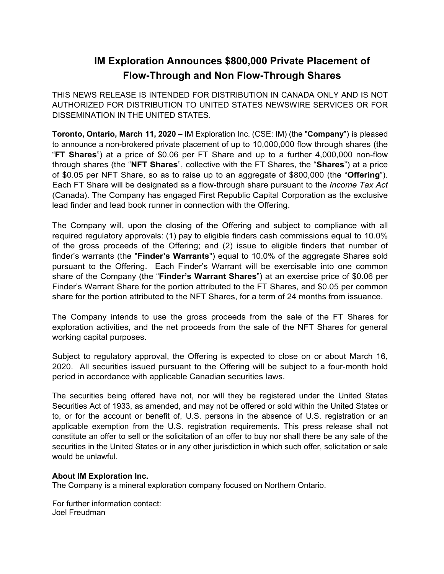## **IM Exploration Announces \$800,000 Private Placement of Flow-Through and Non Flow-Through Shares**

THIS NEWS RELEASE IS INTENDED FOR DISTRIBUTION IN CANADA ONLY AND IS NOT AUTHORIZED FOR DISTRIBUTION TO UNITED STATES NEWSWIRE SERVICES OR FOR DISSEMINATION IN THE UNITED STATES.

**Toronto, Ontario, March 11, 2020** – IM Exploration Inc. (CSE: IM) (the "**Company**") is pleased to announce a non-brokered private placement of up to 10,000,000 flow through shares (the "**FT Shares**") at a price of \$0.06 per FT Share and up to a further 4,000,000 non-flow through shares (the "**NFT Shares**", collective with the FT Shares, the "**Shares**") at a price of \$0.05 per NFT Share, so as to raise up to an aggregate of \$800,000 (the "**Offering**"). Each FT Share will be designated as a flow-through share pursuant to the *Income Tax Act* (Canada). The Company has engaged First Republic Capital Corporation as the exclusive lead finder and lead book runner in connection with the Offering.

The Company will, upon the closing of the Offering and subject to compliance with all required regulatory approvals: (1) pay to eligible finders cash commissions equal to 10.0% of the gross proceeds of the Offering; and (2) issue to eligible finders that number of finder's warrants (the "**Finder's Warrants**") equal to 10.0% of the aggregate Shares sold pursuant to the Offering. Each Finder's Warrant will be exercisable into one common share of the Company (the "**Finder's Warrant Shares**") at an exercise price of \$0.06 per Finder's Warrant Share for the portion attributed to the FT Shares, and \$0.05 per common share for the portion attributed to the NFT Shares, for a term of 24 months from issuance.

The Company intends to use the gross proceeds from the sale of the FT Shares for exploration activities, and the net proceeds from the sale of the NFT Shares for general working capital purposes.

Subject to regulatory approval, the Offering is expected to close on or about March 16, 2020. All securities issued pursuant to the Offering will be subject to a four-month hold period in accordance with applicable Canadian securities laws.

The securities being offered have not, nor will they be registered under the United States Securities Act of 1933, as amended, and may not be offered or sold within the United States or to, or for the account or benefit of, U.S. persons in the absence of U.S. registration or an applicable exemption from the U.S. registration requirements. This press release shall not constitute an offer to sell or the solicitation of an offer to buy nor shall there be any sale of the securities in the United States or in any other jurisdiction in which such offer, solicitation or sale would be unlawful.

## **About IM Exploration Inc.**

The Company is a mineral exploration company focused on Northern Ontario.

For further information contact: Joel Freudman